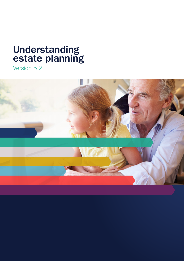# **Understanding estate planning**

Version 5.2

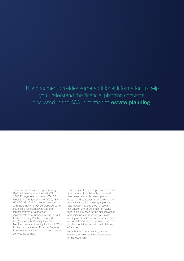This document provides some additional information to help you understand the financial planning concepts discussed in the SOA in relation to **estate planning**.

This document has been published by GWM Adviser Services Limited AFSL 230692, registered address 105-153 Miller St North Sydney NSW 2060, ABN 96 002 071 749 for use in conjunction with Statements of Advice prepared by its authorised representatives and the representatives or authorised representatives of National Australia Bank Limited, Godfrey Pembroke Limited, Apogee Financial Planning Limited, Meritum Financial Planning Limited, JBWere Limited and Australian Financial Services Licensees with whom it has a commercial services agreement.

This document contains general information about some of the benefits, costs and risks associated with certain product classes and strategies and should not act as a substitute for receiving appropriate legal advice. It is designed for use in conjunction with a Statement of Advice that takes into account the circumstances and objectives of an individual. Before making a commitment to purchase or sell a financial product, you should ensure that you have obtained an individual Statement of Advice.

As legislation may change, you should ensure you have the most recent version of this document.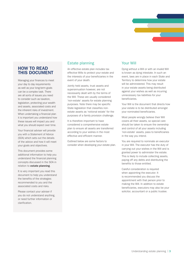

# **HOW TO READ THIS DOCUMENT**

Managing your finances to meet your day to day requirements as well as your long-term goals can be a complex task. There are all sorts of issues you need to consider such as taxation, legislation, protecting your wealth and assets, associated costs and the inherent risks of investment. When undertaking a financial plan it is important you understand how these issues will impact you and what you should expect over time.

Your financial adviser will provide you with a Statement of Advice (SOA) which sets out the details of the advice and how it will meet your goals and objectives.

This document provides some additional information to help you understand the financial planning concepts discussed in the SOA in relation to **estate planning**.

It is very important you read this document to help you understand the benefits of the strategies recommended to you and the associated costs and risks.

Please contact your adviser if you do not understand anything, or need further information or clarification.

# Estate planning

An effective estate plan includes tax effective Wills to protect your estate and the interests of your beneficiaries in the event of your death.

Jointly held assets, trust assets and superannuation however, are not necessarily dealt with by the terms of the Will. These are usually considered 'non-estate' assets for estate planning purposes. Note there may be specific State legislation that classifies nonestate assets as 'notional estate' for the purposes of a family provision challenge.

It is therefore important to have considered a comprehensive estate plan to ensure all assets are transferred according to your wishes in the most effective and efficient manner.

Outlined below are some factors to consider when developing your estate plan.

# Your Will

Dying without a Will or with an invalid Will is known as dying intestate. In such an event, laws are in place in each State and Territory to determine how your estate will be administered. This may result in your estate assets being distributed against your wishes as well as incurring unnecessary tax liabilities for your beneficiaries.

Your Will is the document that directs how your estate is to be distributed amongst your nominated beneficiaries.

Most people wrongly believe their Will covers all their assets, so special care should be taken to ensure the ownership and control of all your assets including 'non-estate' assets, pass to beneficiaries in the way you intend.

You are required to nominate an executor in your Will. The executor has the duty of carrying out your wishes in the Will and is granted power to administer the estate. This is likely to include collecting assets, paying off any debts and distributing the benefits to those entitled.

Careful consideration is required when appointing the executor. It is recommended you discuss the appointment with that person prior to making the Will. In addition to estate beneficiaries, executors may also be your solicitor, accountant or a public trustee.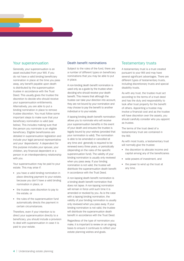#### Your superannuation

Generally, your superannuation is an asset excluded from your Will. If you do not have a valid binding beneficiary nomination in place at the time you pass away, any benefit payable upon death is distributed by the superannuation trustee in accordance with the Trust Deed. This usually gives the trustee the discretion to decide who should receive your superannuation entitlements. Alternatively, you are able to put a binding nomination in place to remove trustee discretion. You must follow some important steps to make sure that your beneficiary nomination is valid (see below). This includes making sure that the person you nominate is an eligible beneficiary. Eligible beneficiaries are detailed in superannuation legislation and include your legal personal representative and your 'dependents'. A dependent for this purpose includes your spouse, your children, any financial dependent or a person in an interdependency relationship with you.

Your superannuation may be paid to your estate. This may arise if:

- you have a valid binding nomination in place directing payment to your estate, because you don't have a valid binding nomination in place, or
- the trustee uses discretion to pay to the estate, or
- the rules of the superannuation fund automatically directs the payment in certain circumstances.

Therefore, even if your intention is to direct your superannuation directly to a beneficiary, you should include a provision to deal with superannuation in case it is paid to your estate.

#### Death benefit nominations

Subject to the rules of the fund, there are a number of different types on beneficiary nominations that you may be able to put in place.

A non-binding death benefit nomination is used only as a guide by the trustee when deciding who should receive your death benefit. This means that although the trustee can take your direction into account, they are not bound by your nomination and may choose to pay the benefit to another individual or to your estate.

A lapsing binding death benefit nomination allows you to nominate who will receive your superannuation benefits in the event of your death and ensures the trustee is legally bound by your wishes (provided that your nomination is valid). The nomination is able to be amended or cancelled at any time and generally is required to be renewed every three years, or periodically (depending on the rules of the specific superannuation fund). The validity of your binding nomination is usually only reviewed when you pass away. If your binding nomination is not valid, the trustee will distribute the superannuation death benefit in accordance with the Trust Deed.

A non-lapsing death benefit nomination is a binding death benefit nomination that does not lapse. A non-lapsing nomination will remain in force until such time it is amended or revoked by you. As is the case with a lapsing binding nomination, the validity of your binding nomination is usually only reviewed when you pass away. If your binding nomination is not valid, the trustee will distribute the superannuation death benefit in accordance with the Trust Deed.

Regardless of the type of nomination you make, it is important to review on an ongoing basis to ensure it continues to reflect your estate planning wishes and goals.

#### Testamentary trusts

A testamentary trust is a trust created pursuant to your Will and may have several significant advantages. There are different types of testamentary trusts, including discretionary trusts and special disability trusts.

As with any trust, the trustee must act according to the terms of a trust deed and has the duty and responsibility to look after trust property for the benefit of others. Appointing a trustee may involve a financial cost and as the trustee will have discretion over the assets, you should carefully consider who you appoint as trustee.

The terms of the trust deed of a testamentary trust are contained in the Will.

As with most trusts, a testamentary trust will normally give the trustee:

- the discretion to allocate income and capital among any of the beneficiaries
- wide powers of investment, and
- the power to wind up the trust at any time.